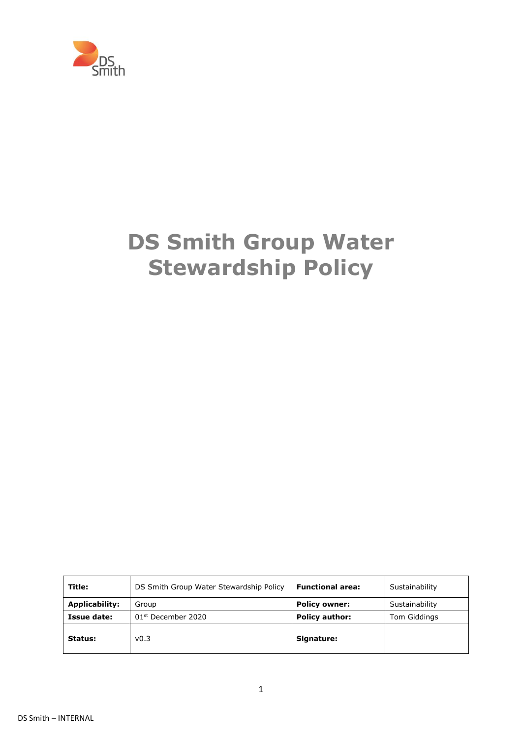

# **DS Smith Group Water Stewardship Policy**

| Title:         | DS Smith Group Water Stewardship Policy | <b>Functional area:</b> | Sustainability |
|----------------|-----------------------------------------|-------------------------|----------------|
| Applicability: | Group                                   | <b>Policy owner:</b>    | Sustainability |
| Issue date:    | $01st$ December 2020                    | <b>Policy author:</b>   | Tom Giddings   |
| Status:        | v0.3                                    | Signature:              |                |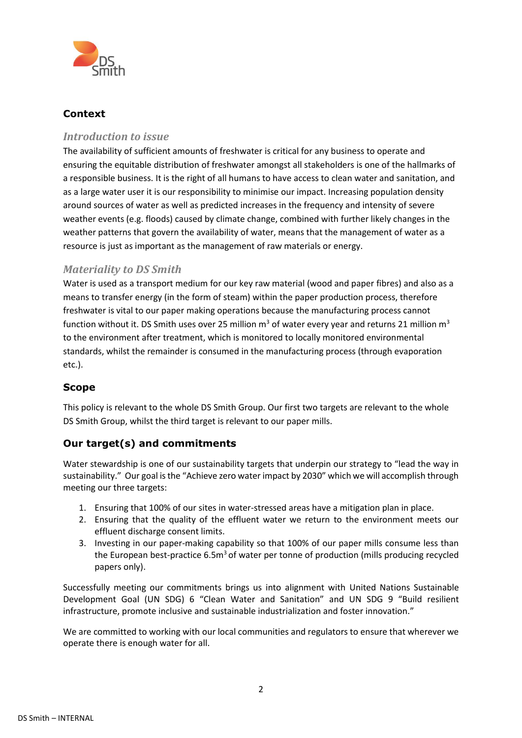

# **Context**

## *Introduction to issue*

The availability of sufficient amounts of freshwater is critical for any business to operate and ensuring the equitable distribution of freshwater amongst all stakeholders is one of the hallmarks of a responsible business. It is the right of all humans to have access to clean water and sanitation, and as a large water user it is our responsibility to minimise our impact. Increasing population density around sources of water as well as predicted increases in the frequency and intensity of severe weather events (e.g. floods) caused by climate change, combined with further likely changes in the weather patterns that govern the availability of water, means that the management of water as a resource is just as important as the management of raw materials or energy.

## *Materiality to DS Smith*

Water is used as a transport medium for our key raw material (wood and paper fibres) and also as a means to transfer energy (in the form of steam) within the paper production process, therefore freshwater is vital to our paper making operations because the manufacturing process cannot function without it. DS Smith uses over 25 million  $m<sup>3</sup>$  of water every year and returns 21 million  $m<sup>3</sup>$ to the environment after treatment, which is monitored to locally monitored environmental standards, whilst the remainder is consumed in the manufacturing process (through evaporation etc.).

## **Scope**

This policy is relevant to the whole DS Smith Group. Our first two targets are relevant to the whole DS Smith Group, whilst the third target is relevant to our paper mills.

## **Our target(s) and commitments**

Water stewardship is one of our sustainability targets that underpin our strategy to "lead the way in sustainability." Our goal is the "Achieve zero water impact by 2030" which we will accomplish through meeting our three targets:

- 1. Ensuring that 100% of our sites in water-stressed areas have a mitigation plan in place.
- 2. Ensuring that the quality of the effluent water we return to the environment meets our effluent discharge consent limits.
- 3. Investing in our paper-making capability so that 100% of our paper mills consume less than the European best-practice  $6.5m<sup>3</sup>$  of water per tonne of production (mills producing recycled papers only).

Successfully meeting our commitments brings us into alignment with United Nations Sustainable Development Goal (UN SDG) 6 "Clean Water and Sanitation" and UN SDG 9 "Build resilient infrastructure, promote inclusive and sustainable industrialization and foster innovation."

We are committed to working with our local communities and regulators to ensure that wherever we operate there is enough water for all.